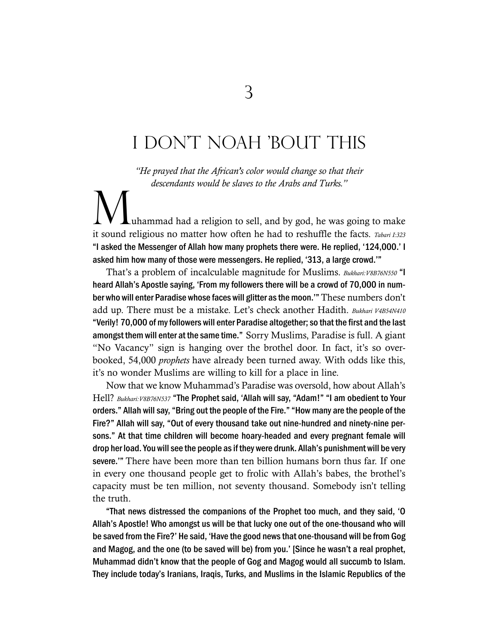## I DON'T NOAH 'BOUT THIS

*"He prayed that the African's color would change so that their descendants would be slaves to the Arabs and Turks."*

uhammad had a religion to sell, and by god, he was going to make it sound religious no matter how often he had to reshuffle the facts. *Tabari I:323* "I asked the Messenger of Allah how many prophets there were. He replied, '124,000.' I asked him how many of those were messengers. He replied, '313, a large crowd.'"

That's a problem of incalculable magnitude for Muslims. *Bukhari:V8B76N550* "I heard Allah's Apostle saying, 'From my followers there will be a crowd of 70,000 in number who will enter Paradise whose faces will glitter as the moon.'" These numbers don't add up. There must be a mistake. Let's check another Hadith. *Bukhari V4B54N410* "Verily! 70,000 of my followers will enter Paradise altogether; so that the first and the last amongst them will enter at the same time." Sorry Muslims, Paradise is full. A giant "No Vacancy" sign is hanging over the brothel door. In fact, it's so overbooked, 54,000 *prophets* have already been turned away. With odds like this, it's no wonder Muslims are willing to kill for a place in line.

Now that we know Muhammad's Paradise was oversold, how about Allah's Hell? *Bukhari:V8B76N537* "The Prophet said, 'Allah will say, "Adam!" "I am obedient to Your orders." Allah will say, "Bring out the people of the Fire." "How many are the people of the Fire?" Allah will say, "Out of every thousand take out nine-hundred and ninety-nine persons." At that time children will become hoary-headed and every pregnant female will drop her load. You will see the people as if they were drunk. Allah's punishment will be very severe.'" There have been more than ten billion humans born thus far. If one in every one thousand people get to frolic with Allah's babes, the brothel's capacity must be ten million, not seventy thousand. Somebody isn't telling the truth.

"That news distressed the companions of the Prophet too much, and they said, 'O Allah's Apostle! Who amongst us will be that lucky one out of the one-thousand who will be saved from the Fire?' He said, 'Have the good news that one-thousand will be from Gog and Magog, and the one (to be saved will be) from you.' [Since he wasn't a real prophet, Muhammad didn't know that the people of Gog and Magog would all succumb to Islam. They include today's Iranians, Iraqis, Turks, and Muslims in the Islamic Republics of the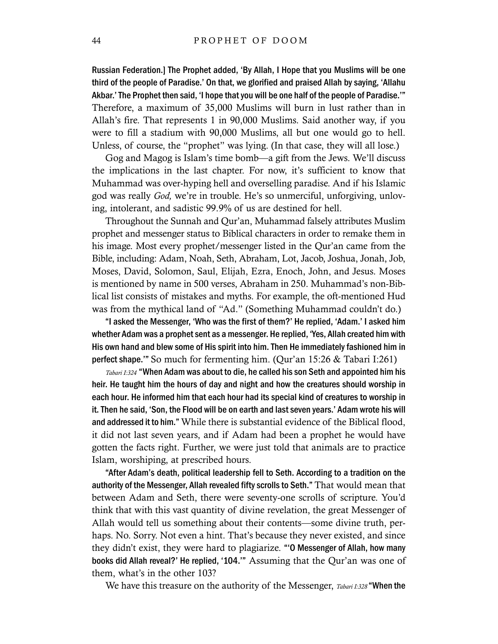Russian Federation.] The Prophet added, 'By Allah, I Hope that you Muslims will be one third of the people of Paradise.' On that, we glorified and praised Allah by saying, 'Allahu Akbar.' The Prophet then said, 'I hope that you will be one half of the people of Paradise.'" Therefore, a maximum of 35,000 Muslims will burn in lust rather than in Allah's fire. That represents 1 in 90,000 Muslims. Said another way, if you were to fill a stadium with 90,000 Muslims, all but one would go to hell. Unless, of course, the "prophet" was lying. (In that case, they will all lose.)

Gog and Magog is Islam's time bomb—a gift from the Jews. We'll discuss the implications in the last chapter. For now, it's sufficient to know that Muhammad was over-hyping hell and overselling paradise. And if his Islamic god was really *God,* we're in trouble. He's so unmerciful, unforgiving, unloving, intolerant, and sadistic 99.9% of us are destined for hell.

Throughout the Sunnah and Qur'an, Muhammad falsely attributes Muslim prophet and messenger status to Biblical characters in order to remake them in his image. Most every prophet/messenger listed in the Qur'an came from the Bible, including: Adam, Noah, Seth, Abraham, Lot, Jacob, Joshua, Jonah, Job, Moses, David, Solomon, Saul, Elijah, Ezra, Enoch, John, and Jesus. Moses is mentioned by name in 500 verses, Abraham in 250. Muhammad's non-Biblical list consists of mistakes and myths. For example, the oft-mentioned Hud was from the mythical land of "Ad." (Something Muhammad couldn't do.)

"I asked the Messenger, 'Who was the first of them?' He replied, 'Adam.' I asked him whether Adam was a prophet sent as a messenger. He replied, 'Yes, Allah created him with His own hand and blew some of His spirit into him. Then He immediately fashioned him in perfect shape.'" So much for fermenting him. (Qur'an 15:26 & Tabari I:261)

*Tabari I:324* "When Adam was about to die, he called his son Seth and appointed him his heir. He taught him the hours of day and night and how the creatures should worship in each hour. He informed him that each hour had its special kind of creatures to worship in it. Then he said, 'Son, the Flood will be on earth and last seven years.' Adam wrote his will and addressed it to him." While there is substantial evidence of the Biblical flood, it did not last seven years, and if Adam had been a prophet he would have gotten the facts right. Further, we were just told that animals are to practice Islam, worshiping, at prescribed hours.

"After Adam's death, political leadership fell to Seth. According to a tradition on the authority of the Messenger, Allah revealed fifty scrolls to Seth." That would mean that between Adam and Seth, there were seventy-one scrolls of scripture. You'd think that with this vast quantity of divine revelation, the great Messenger of Allah would tell us something about their contents—some divine truth, perhaps. No. Sorry. Not even a hint. That's because they never existed, and since they didn't exist, they were hard to plagiarize. "'O Messenger of Allah, how many books did Allah reveal?' He replied, '104.'" Assuming that the Qur'an was one of them, what's in the other 103?

We have this treasure on the authority of the Messenger, *Tabari I:328* "When the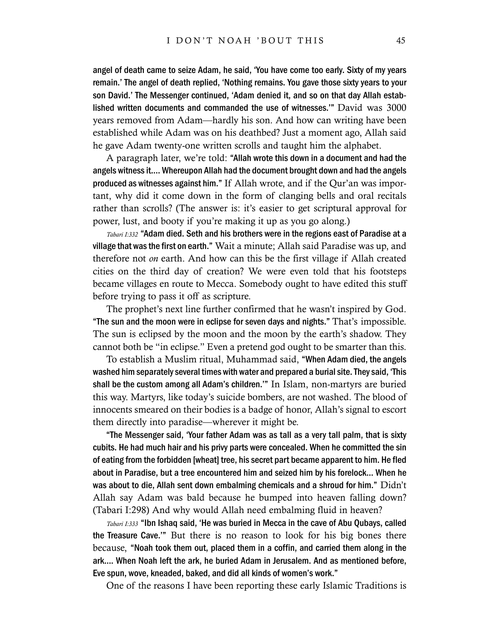angel of death came to seize Adam, he said, 'You have come too early. Sixty of my years remain.' The angel of death replied, 'Nothing remains. You gave those sixty years to your son David.' The Messenger continued, 'Adam denied it, and so on that day Allah established written documents and commanded the use of witnesses.'" David was 3000 years removed from Adam—hardly his son. And how can writing have been established while Adam was on his deathbed? Just a moment ago, Allah said he gave Adam twenty-one written scrolls and taught him the alphabet.

A paragraph later, we're told: "Allah wrote this down in a document and had the angels witness it.… Whereupon Allah had the document brought down and had the angels produced as witnesses against him." If Allah wrote, and if the Qur'an was important, why did it come down in the form of clanging bells and oral recitals rather than scrolls? (The answer is: it's easier to get scriptural approval for power, lust, and booty if you're making it up as you go along.)

*Tabari I:332* "Adam died. Seth and his brothers were in the regions east of Paradise at a village that was the first on earth." Wait a minute; Allah said Paradise was up, and therefore not *on* earth. And how can this be the first village if Allah created cities on the third day of creation? We were even told that his footsteps became villages en route to Mecca. Somebody ought to have edited this stuff before trying to pass it off as scripture.

The prophet's next line further confirmed that he wasn't inspired by God. "The sun and the moon were in eclipse for seven days and nights." That's impossible. The sun is eclipsed by the moon and the moon by the earth's shadow. They cannot both be "in eclipse." Even a pretend god ought to be smarter than this.

To establish a Muslim ritual, Muhammad said, "When Adam died, the angels washed him separately several times with water and prepared a burial site. They said, 'This shall be the custom among all Adam's children.'" In Islam, non-martyrs are buried this way. Martyrs, like today's suicide bombers, are not washed. The blood of innocents smeared on their bodies is a badge of honor, Allah's signal to escort them directly into paradise—wherever it might be.

"The Messenger said, 'Your father Adam was as tall as a very tall palm, that is sixty cubits. He had much hair and his privy parts were concealed. When he committed the sin of eating from the forbidden [wheat] tree, his secret part became apparent to him. He fled about in Paradise, but a tree encountered him and seized him by his forelock… When he was about to die, Allah sent down embalming chemicals and a shroud for him." Didn't Allah say Adam was bald because he bumped into heaven falling down? (Tabari I:298) And why would Allah need embalming fluid in heaven?

*Tabari I:333* "Ibn Ishaq said, 'He was buried in Mecca in the cave of Abu Qubays, called the Treasure Cave.'" But there is no reason to look for his big bones there because, "Noah took them out, placed them in a coffin, and carried them along in the ark…. When Noah left the ark, he buried Adam in Jerusalem. And as mentioned before, Eve spun, wove, kneaded, baked, and did all kinds of women's work."

One of the reasons I have been reporting these early Islamic Traditions is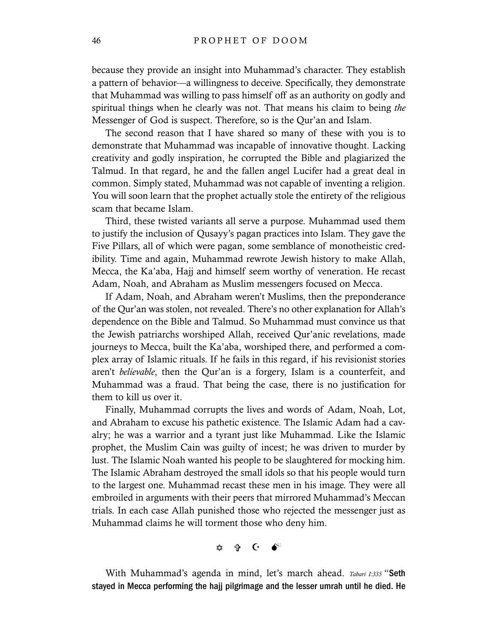because they provide an insight into Muhammad's character. They establish a pattern of behavior—a willingness to deceive. Specifically, they demonstrate that Muhammad was willing to pass himself off as an authority on godly and spiritual things when he clearly was not. That means his claim to being *the* Messenger of God is suspect. Therefore, so is the Qur'an and Islam.

The second reason that I have shared so many of these with you is to demonstrate that Muhammad was incapable of innovative thought. Lacking creativity and godly inspiration, he corrupted the Bible and plagiarized the Talmud. In that regard, he and the fallen angel Lucifer had a great deal in common. Simply stated, Muhammad was not capable of inventing a religion. You will soon learn that the prophet actually stole the entirety of the religious scam that became Islam.

Third, these twisted variants all serve a purpose. Muhammad used them to justify the inclusion of Qusayy's pagan practices into Islam. They gave the Five Pillars, all of which were pagan, some semblance of monotheistic credibility. Time and again, Muhammad rewrote Jewish history to make Allah, Mecca, the Ka'aba, Hajj and himself seem worthy of veneration. He recast Adam, Noah, and Abraham as Muslim messengers focused on Mecca.

If Adam, Noah, and Abraham weren't Muslims, then the preponderance of the Qur'an was stolen, not revealed. There's no other explanation for Allah's dependence on the Bible and Talmud. So Muhammad must convince us that the Jewish patriarchs worshiped Allah, received Qur'anic revelations, made journeys to Mecca, built the Ka'aba, worshiped there, and performed a complex array of Islamic rituals. If he fails in this regard, if his revisionist stories aren't *believable*, then the Qur'an is a forgery, Islam is a counterfeit, and Muhammad was a fraud. That being the case, there is no justification for them to kill us over it.

Finally, Muhammad corrupts the lives and words of Adam, Noah, Lot, and Abraham to excuse his pathetic existence. The Islamic Adam had a cavalry; he was a warrior and a tyrant just like Muhammad. Like the Islamic prophet, the Muslim Cain was guilty of incest; he was driven to murder by lust. The Islamic Noah wanted his people to be slaughtered for mocking him. The Islamic Abraham destroyed the small idols so that his people would turn to the largest one. Muhammad recast these men in his image. They were all embroiled in arguments with their peers that mirrored Muhammad's Meccan trials. In each case Allah punished those who rejected the messenger just as Muhammad claims he will torment those who deny him.

**众 中 C 6<sup>米</sup>** 

With Muhammad's agenda in mind, let's march ahead. *Tabari I:335* "Seth stayed in Mecca performing the hajj pilgrimage and the lesser umrah until he died. He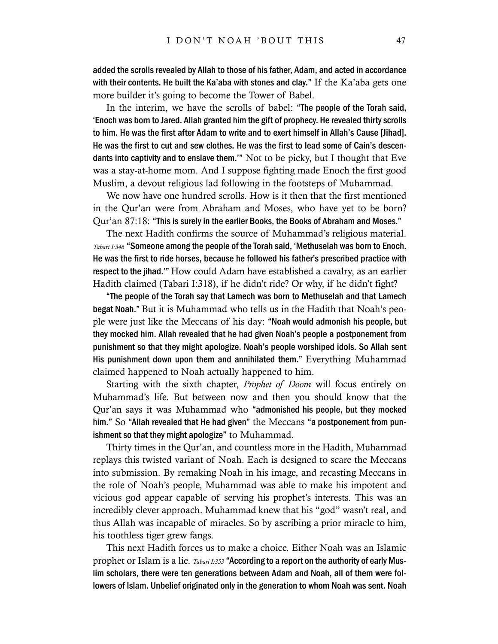added the scrolls revealed by Allah to those of his father, Adam, and acted in accordance with their contents. He built the Ka'aba with stones and clay." If the Ka'aba gets one more builder it's going to become the Tower of Babel.

In the interim, we have the scrolls of babel: "The people of the Torah said, 'Enoch was born to Jared. Allah granted him the gift of prophecy. He revealed thirty scrolls to him. He was the first after Adam to write and to exert himself in Allah's Cause [Jihad]. He was the first to cut and sew clothes. He was the first to lead some of Cain's descendants into captivity and to enslave them.'" Not to be picky, but I thought that Eve was a stay-at-home mom. And I suppose fighting made Enoch the first good Muslim, a devout religious lad following in the footsteps of Muhammad.

We now have one hundred scrolls. How is it then that the first mentioned in the Qur'an were from Abraham and Moses, who have yet to be born? Qur'an 87:18: "This is surely in the earlier Books, the Books of Abraham and Moses."

The next Hadith confirms the source of Muhammad's religious material. *Tabari I:346* "Someone among the people of the Torah said, 'Methuselah was born to Enoch. He was the first to ride horses, because he followed his father's prescribed practice with respect to the jihad.'" How could Adam have established a cavalry, as an earlier Hadith claimed (Tabari I:318), if he didn't ride? Or why, if he didn't fight?

"The people of the Torah say that Lamech was born to Methuselah and that Lamech begat Noah." But it is Muhammad who tells us in the Hadith that Noah's people were just like the Meccans of his day: "Noah would admonish his people, but they mocked him. Allah revealed that he had given Noah's people a postponement from punishment so that they might apologize. Noah's people worshiped idols. So Allah sent His punishment down upon them and annihilated them." Everything Muhammad claimed happened to Noah actually happened to him.

Starting with the sixth chapter, *Prophet of Doom* will focus entirely on Muhammad's life. But between now and then you should know that the Qur'an says it was Muhammad who "admonished his people, but they mocked him." So "Allah revealed that He had given" the Meccans "a postponement from punishment so that they might apologize" to Muhammad.

Thirty times in the Qur'an, and countless more in the Hadith, Muhammad replays this twisted variant of Noah. Each is designed to scare the Meccans into submission. By remaking Noah in his image, and recasting Meccans in the role of Noah's people, Muhammad was able to make his impotent and vicious god appear capable of serving his prophet's interests. This was an incredibly clever approach. Muhammad knew that his "god" wasn't real, and thus Allah was incapable of miracles. So by ascribing a prior miracle to him, his toothless tiger grew fangs.

This next Hadith forces us to make a choice. Either Noah was an Islamic prophet or Islam is a lie. *Tabari I:353* "According to a report on the authority of early Muslim scholars, there were ten generations between Adam and Noah, all of them were followers of Islam. Unbelief originated only in the generation to whom Noah was sent. Noah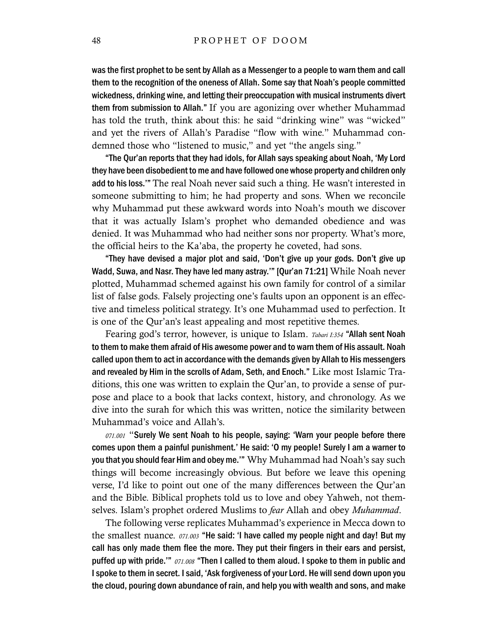was the first prophet to be sent by Allah as a Messenger to a people to warn them and call them to the recognition of the oneness of Allah. Some say that Noah's people committed wickedness, drinking wine, and letting their preoccupation with musical instruments divert them from submission to Allah." If you are agonizing over whether Muhammad has told the truth, think about this: he said "drinking wine" was "wicked" and yet the rivers of Allah's Paradise "flow with wine." Muhammad condemned those who "listened to music," and yet "the angels sing."

"The Qur'an reports that they had idols, for Allah says speaking about Noah, 'My Lord they have been disobedient to me and have followed one whose property and children only add to his loss.'" The real Noah never said such a thing. He wasn't interested in someone submitting to him; he had property and sons. When we reconcile why Muhammad put these awkward words into Noah's mouth we discover that it was actually Islam's prophet who demanded obedience and was denied. It was Muhammad who had neither sons nor property. What's more, the official heirs to the Ka'aba, the property he coveted, had sons.

"They have devised a major plot and said, 'Don't give up your gods. Don't give up Wadd, Suwa, and Nasr. They have led many astray.'" [Qur'an 71:21] While Noah never plotted, Muhammad schemed against his own family for control of a similar list of false gods. Falsely projecting one's faults upon an opponent is an effective and timeless political strategy. It's one Muhammad used to perfection. It is one of the Qur'an's least appealing and most repetitive themes.

Fearing god's terror, however, is unique to Islam. *Tabari I:354* "Allah sent Noah to them to make them afraid of His awesome power and to warn them of His assault. Noah called upon them to act in accordance with the demands given by Allah to His messengers and revealed by Him in the scrolls of Adam, Seth, and Enoch." Like most Islamic Traditions, this one was written to explain the Qur'an, to provide a sense of purpose and place to a book that lacks context, history, and chronology. As we dive into the surah for which this was written, notice the similarity between Muhammad's voice and Allah's.

*071.001* "Surely We sent Noah to his people, saying: 'Warn your people before there comes upon them a painful punishment.' He said: 'O my people! Surely I am a warner to you that you should fear Him and obey me.'" Why Muhammad had Noah's say such things will become increasingly obvious. But before we leave this opening verse, I'd like to point out one of the many differences between the Qur'an and the Bible. Biblical prophets told us to love and obey Yahweh, not themselves. Islam's prophet ordered Muslims to *fear* Allah and obey *Muhammad*.

The following verse replicates Muhammad's experience in Mecca down to the smallest nuance. *071.003* "He said: 'I have called my people night and day! But my call has only made them flee the more. They put their fingers in their ears and persist, puffed up with pride.'" *071.008* "Then I called to them aloud. I spoke to them in public and I spoke to them in secret. I said, 'Ask forgiveness of your Lord. He will send down upon you the cloud, pouring down abundance of rain, and help you with wealth and sons, and make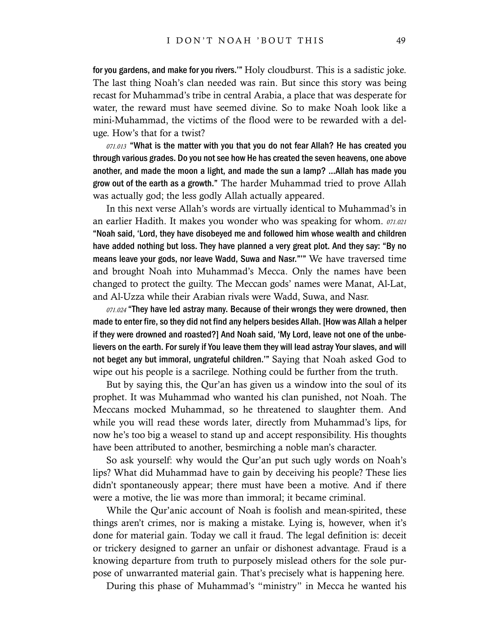for you gardens, and make for you rivers.'" Holy cloudburst. This is a sadistic joke. The last thing Noah's clan needed was rain. But since this story was being recast for Muhammad's tribe in central Arabia, a place that was desperate for water, the reward must have seemed divine. So to make Noah look like a mini-Muhammad, the victims of the flood were to be rewarded with a deluge. How's that for a twist?

*071.013* "What is the matter with you that you do not fear Allah? He has created you through various grades. Do you not see how He has created the seven heavens, one above another, and made the moon a light, and made the sun a lamp? ...Allah has made you grow out of the earth as a growth." The harder Muhammad tried to prove Allah was actually god; the less godly Allah actually appeared.

In this next verse Allah's words are virtually identical to Muhammad's in an earlier Hadith. It makes you wonder who was speaking for whom. *071.021* "Noah said, 'Lord, they have disobeyed me and followed him whose wealth and children have added nothing but loss. They have planned a very great plot. And they say: "By no means leave your gods, nor leave Wadd, Suwa and Nasr."'" We have traversed time and brought Noah into Muhammad's Mecca. Only the names have been changed to protect the guilty. The Meccan gods' names were Manat, Al-Lat, and Al-Uzza while their Arabian rivals were Wadd, Suwa, and Nasr.

*071.024* "They have led astray many. Because of their wrongs they were drowned, then made to enter fire, so they did not find any helpers besides Allah. [How was Allah a helper if they were drowned and roasted?] And Noah said, 'My Lord, leave not one of the unbelievers on the earth. For surely if You leave them they will lead astray Your slaves, and will not beget any but immoral, ungrateful children.'" Saying that Noah asked God to wipe out his people is a sacrilege. Nothing could be further from the truth.

But by saying this, the Qur'an has given us a window into the soul of its prophet. It was Muhammad who wanted his clan punished, not Noah. The Meccans mocked Muhammad, so he threatened to slaughter them. And while you will read these words later, directly from Muhammad's lips, for now he's too big a weasel to stand up and accept responsibility. His thoughts have been attributed to another, besmirching a noble man's character.

So ask yourself: why would the Qur'an put such ugly words on Noah's lips? What did Muhammad have to gain by deceiving his people? These lies didn't spontaneously appear; there must have been a motive. And if there were a motive, the lie was more than immoral; it became criminal.

While the Qur'anic account of Noah is foolish and mean-spirited, these things aren't crimes, nor is making a mistake. Lying is, however, when it's done for material gain. Today we call it fraud. The legal definition is: deceit or trickery designed to garner an unfair or dishonest advantage. Fraud is a knowing departure from truth to purposely mislead others for the sole purpose of unwarranted material gain. That's precisely what is happening here.

During this phase of Muhammad's "ministry" in Mecca he wanted his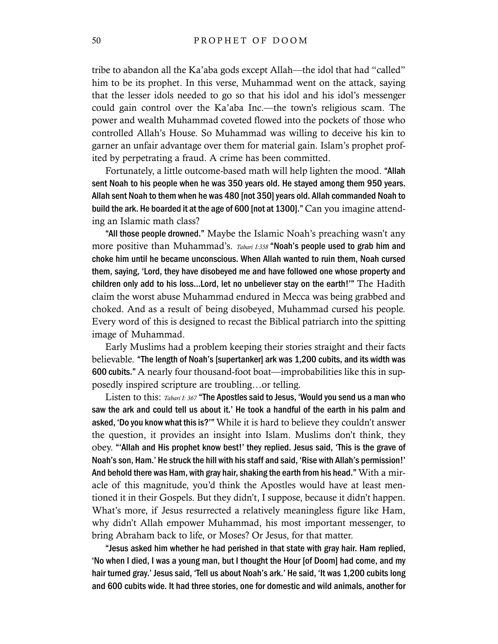tribe to abandon all the Ka'aba gods except Allah—the idol that had "called" him to be its prophet. In this verse, Muhammad went on the attack, saying that the lesser idols needed to go so that his idol and his idol's messenger could gain control over the Ka'aba Inc.—the town's religious scam. The power and wealth Muhammad coveted flowed into the pockets of those who controlled Allah's House. So Muhammad was willing to deceive his kin to garner an unfair advantage over them for material gain. Islam's prophet profited by perpetrating a fraud. A crime has been committed.

Fortunately, a little outcome-based math will help lighten the mood. "Allah sent Noah to his people when he was 350 years old. He stayed among them 950 years. Allah sent Noah to them when he was 480 [not 350] years old. Allah commanded Noah to build the ark. He boarded it at the age of 600 [not at 1300]." Can you imagine attending an Islamic math class?

"All those people drowned." Maybe the Islamic Noah's preaching wasn't any more positive than Muhammad's. *Tabari I:358* "Noah's people used to grab him and choke him until he became unconscious. When Allah wanted to ruin them, Noah cursed them, saying, 'Lord, they have disobeyed me and have followed one whose property and children only add to his loss…Lord, let no unbeliever stay on the earth!'" The Hadith claim the worst abuse Muhammad endured in Mecca was being grabbed and choked. And as a result of being disobeyed, Muhammad cursed his people. Every word of this is designed to recast the Biblical patriarch into the spitting image of Muhammad.

Early Muslims had a problem keeping their stories straight and their facts believable. "The length of Noah's [supertanker] ark was 1,200 cubits, and its width was 600 cubits." A nearly four thousand-foot boat—improbabilities like this in supposedly inspired scripture are troubling…or telling.

Listen to this: *Tabari I: 367* "The Apostles said to Jesus, 'Would you send us a man who saw the ark and could tell us about it.' He took a handful of the earth in his palm and asked, 'Do you know what this is?'" While it is hard to believe they couldn't answer the question, it provides an insight into Islam. Muslims don't think, they obey. "'Allah and His prophet know best!' they replied. Jesus said, 'This is the grave of Noah's son, Ham.' He struck the hill with his staff and said, 'Rise with Allah's permission!' And behold there was Ham, with gray hair, shaking the earth from his head." With a miracle of this magnitude, you'd think the Apostles would have at least mentioned it in their Gospels. But they didn't, I suppose, because it didn't happen. What's more, if Jesus resurrected a relatively meaningless figure like Ham, why didn't Allah empower Muhammad, his most important messenger, to bring Abraham back to life, or Moses? Or Jesus, for that matter.

"Jesus asked him whether he had perished in that state with gray hair. Ham replied, 'No when I died, I was a young man, but I thought the Hour [of Doom] had come, and my hair turned gray.' Jesus said, 'Tell us about Noah's ark.' He said, 'It was 1,200 cubits long and 600 cubits wide. It had three stories, one for domestic and wild animals, another for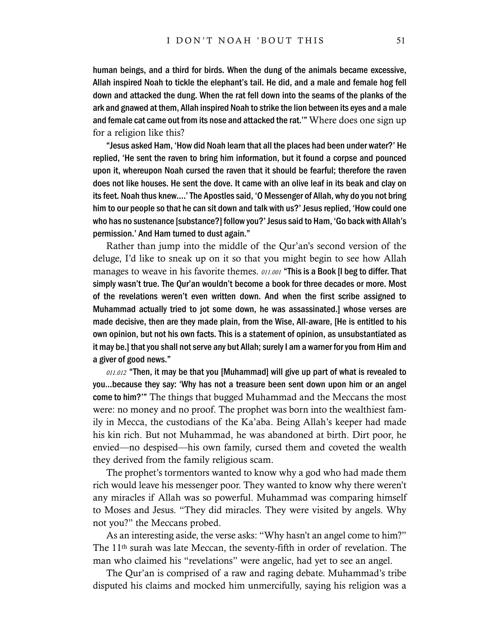human beings, and a third for birds. When the dung of the animals became excessive, Allah inspired Noah to tickle the elephant's tail. He did, and a male and female hog fell down and attacked the dung. When the rat fell down into the seams of the planks of the ark and gnawed at them, Allah inspired Noah to strike the lion between its eyes and a male and female cat came out from its nose and attacked the rat.'" Where does one sign up for a religion like this?

"Jesus asked Ham, 'How did Noah learn that all the places had been under water?' He replied, 'He sent the raven to bring him information, but it found a corpse and pounced upon it, whereupon Noah cursed the raven that it should be fearful; therefore the raven does not like houses. He sent the dove. It came with an olive leaf in its beak and clay on its feet. Noah thus knew….' The Apostles said, 'O Messenger of Allah, why do you not bring him to our people so that he can sit down and talk with us?' Jesus replied, 'How could one who has no sustenance [substance?] follow you?' Jesus said to Ham, 'Go back with Allah's permission.' And Ham turned to dust again."

Rather than jump into the middle of the Qur'an's second version of the deluge, I'd like to sneak up on it so that you might begin to see how Allah manages to weave in his favorite themes. *011.001* "This is a Book [I beg to differ. That simply wasn't true. The Qur'an wouldn't become a book for three decades or more. Most of the revelations weren't even written down. And when the first scribe assigned to Muhammad actually tried to jot some down, he was assassinated.] whose verses are made decisive, then are they made plain, from the Wise, All-aware, [He is entitled to his own opinion, but not his own facts. This is a statement of opinion, as unsubstantiated as it may be.] that you shall not serve any but Allah; surely I am a warner for you from Him and a giver of good news."

*011.012* "Then, it may be that you [Muhammad] will give up part of what is revealed to you…because they say: 'Why has not a treasure been sent down upon him or an angel come to him?'" The things that bugged Muhammad and the Meccans the most were: no money and no proof. The prophet was born into the wealthiest family in Mecca, the custodians of the Ka'aba. Being Allah's keeper had made his kin rich. But not Muhammad, he was abandoned at birth. Dirt poor, he envied—no despised—his own family, cursed them and coveted the wealth they derived from the family religious scam.

The prophet's tormentors wanted to know why a god who had made them rich would leave his messenger poor. They wanted to know why there weren't any miracles if Allah was so powerful. Muhammad was comparing himself to Moses and Jesus. "They did miracles. They were visited by angels. Why not you?" the Meccans probed.

As an interesting aside, the verse asks: "Why hasn't an angel come to him?" The 11th surah was late Meccan, the seventy-fifth in order of revelation. The man who claimed his "revelations" were angelic, had yet to see an angel.

The Qur'an is comprised of a raw and raging debate. Muhammad's tribe disputed his claims and mocked him unmercifully, saying his religion was a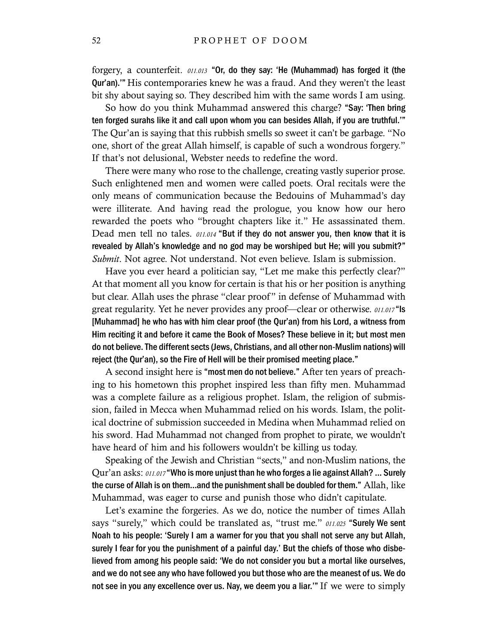forgery, a counterfeit. *011.013* "Or, do they say: 'He (Muhammad) has forged it (the Qur'an).'" His contemporaries knew he was a fraud. And they weren't the least bit shy about saying so. They described him with the same words I am using.

So how do you think Muhammad answered this charge? "Say: 'Then bring ten forged surahs like it and call upon whom you can besides Allah, if you are truthful.'" The Qur'an is saying that this rubbish smells so sweet it can't be garbage. "No one, short of the great Allah himself, is capable of such a wondrous forgery." If that's not delusional, Webster needs to redefine the word.

There were many who rose to the challenge, creating vastly superior prose. Such enlightened men and women were called poets. Oral recitals were the only means of communication because the Bedouins of Muhammad's day were illiterate. And having read the prologue, you know how our hero rewarded the poets who "brought chapters like it." He assassinated them. Dead men tell no tales. *011.014* "But if they do not answer you, then know that it is revealed by Allah's knowledge and no god may be worshiped but He; will you submit?" *Submit*. Not agree. Not understand. Not even believe. Islam is submission.

Have you ever heard a politician say, "Let me make this perfectly clear?" At that moment all you know for certain is that his or her position is anything but clear. Allah uses the phrase "clear proof " in defense of Muhammad with great regularity. Yet he never provides any proof—clear or otherwise. *011.017* "Is [Muhammad] he who has with him clear proof (the Qur'an) from his Lord, a witness from Him reciting it and before it came the Book of Moses? These believe in it; but most men do not believe. The different sects (Jews, Christians, and all other non-Muslim nations) will reject (the Qur'an), so the Fire of Hell will be their promised meeting place."

A second insight here is "most men do not believe." After ten years of preaching to his hometown this prophet inspired less than fifty men. Muhammad was a complete failure as a religious prophet. Islam, the religion of submission, failed in Mecca when Muhammad relied on his words. Islam, the political doctrine of submission succeeded in Medina when Muhammad relied on his sword. Had Muhammad not changed from prophet to pirate, we wouldn't have heard of him and his followers wouldn't be killing us today.

Speaking of the Jewish and Christian "sects," and non-Muslim nations, the Qur'an asks: *011.017* "Who is more unjust than he who forges a lie against Allah? … Surely the curse of Allah is on them…and the punishment shall be doubled for them." Allah, like Muhammad, was eager to curse and punish those who didn't capitulate.

Let's examine the forgeries. As we do, notice the number of times Allah says "surely," which could be translated as, "trust me." *011.025* "Surely We sent Noah to his people: 'Surely I am a warner for you that you shall not serve any but Allah, surely I fear for you the punishment of a painful day.' But the chiefs of those who disbelieved from among his people said: 'We do not consider you but a mortal like ourselves, and we do not see any who have followed you but those who are the meanest of us. We do not see in you any excellence over us. Nay, we deem you a liar.'" If we were to simply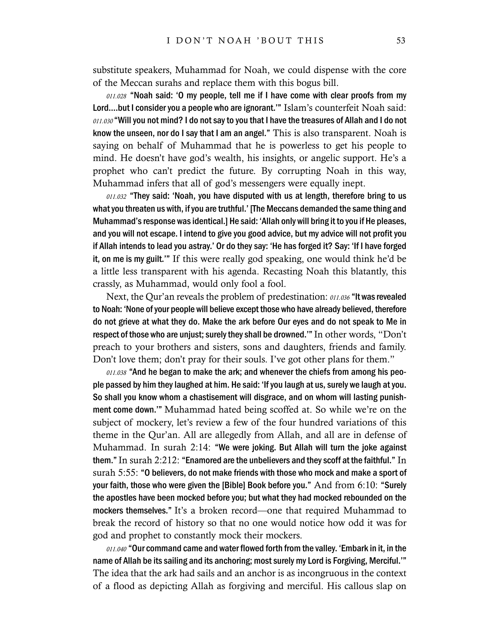substitute speakers, Muhammad for Noah, we could dispense with the core of the Meccan surahs and replace them with this bogus bill.

*011.028* "Noah said: 'O my people, tell me if I have come with clear proofs from my Lord….but I consider you a people who are ignorant.'" Islam's counterfeit Noah said: *011.030* "Will you not mind? I do not say to you that I have the treasures of Allah and I do not know the unseen, nor do I say that I am an angel." This is also transparent. Noah is saying on behalf of Muhammad that he is powerless to get his people to mind. He doesn't have god's wealth, his insights, or angelic support. He's a prophet who can't predict the future. By corrupting Noah in this way, Muhammad infers that all of god's messengers were equally inept.

*011.032* "They said: 'Noah, you have disputed with us at length, therefore bring to us what you threaten us with, if you are truthful.' [The Meccans demanded the same thing and Muhammad's response was identical.] He said: 'Allah only will bring it to you if He pleases, and you will not escape. I intend to give you good advice, but my advice will not profit you if Allah intends to lead you astray.' Or do they say: 'He has forged it? Say: 'If I have forged it, on me is my guilt.'" If this were really god speaking, one would think he'd be a little less transparent with his agenda. Recasting Noah this blatantly, this crassly, as Muhammad, would only fool a fool.

Next, the Qur'an reveals the problem of predestination: *011.036* "It was revealed to Noah: 'None of your people will believe except those who have already believed, therefore do not grieve at what they do. Make the ark before Our eyes and do not speak to Me in respect of those who are unjust; surely they shall be drowned.'" In other words, "Don't preach to your brothers and sisters, sons and daughters, friends and family. Don't love them; don't pray for their souls. I've got other plans for them."

*011.038* "And he began to make the ark; and whenever the chiefs from among his people passed by him they laughed at him. He said: 'If you laugh at us, surely we laugh at you. So shall you know whom a chastisement will disgrace, and on whom will lasting punishment come down.'" Muhammad hated being scoffed at. So while we're on the subject of mockery, let's review a few of the four hundred variations of this theme in the Qur'an. All are allegedly from Allah, and all are in defense of Muhammad. In surah 2:14: "We were joking. But Allah will turn the joke against them." In surah 2:212: "Enamored are the unbelievers and they scoff at the faithful." In surah 5:55: "O believers, do not make friends with those who mock and make a sport of your faith, those who were given the [Bible] Book before you." And from 6:10: "Surely the apostles have been mocked before you; but what they had mocked rebounded on the mockers themselves." It's a broken record—one that required Muhammad to break the record of history so that no one would notice how odd it was for god and prophet to constantly mock their mockers.

*011.040* "Our command came and water flowed forth from the valley. 'Embark in it, in the name of Allah be its sailing and its anchoring; most surely my Lord is Forgiving, Merciful.'" The idea that the ark had sails and an anchor is as incongruous in the context of a flood as depicting Allah as forgiving and merciful. His callous slap on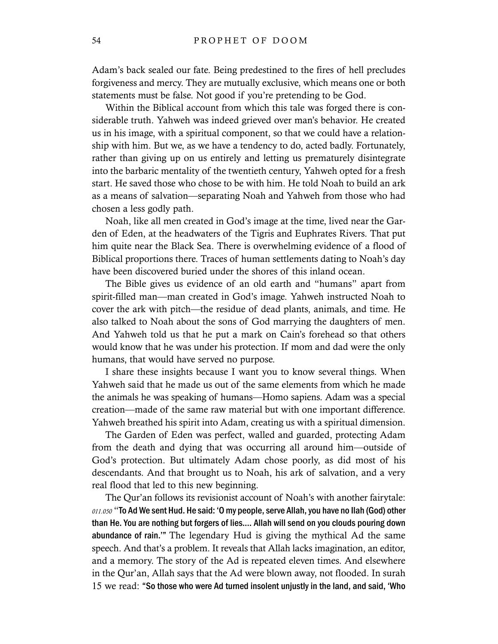Adam's back sealed our fate. Being predestined to the fires of hell precludes forgiveness and mercy. They are mutually exclusive, which means one or both statements must be false. Not good if you're pretending to be God.

Within the Biblical account from which this tale was forged there is considerable truth. Yahweh was indeed grieved over man's behavior. He created us in his image, with a spiritual component, so that we could have a relationship with him. But we, as we have a tendency to do, acted badly. Fortunately, rather than giving up on us entirely and letting us prematurely disintegrate into the barbaric mentality of the twentieth century, Yahweh opted for a fresh start. He saved those who chose to be with him. He told Noah to build an ark as a means of salvation—separating Noah and Yahweh from those who had chosen a less godly path.

Noah, like all men created in God's image at the time, lived near the Garden of Eden, at the headwaters of the Tigris and Euphrates Rivers. That put him quite near the Black Sea. There is overwhelming evidence of a flood of Biblical proportions there. Traces of human settlements dating to Noah's day have been discovered buried under the shores of this inland ocean.

The Bible gives us evidence of an old earth and "humans" apart from spirit-filled man—man created in God's image. Yahweh instructed Noah to cover the ark with pitch—the residue of dead plants, animals, and time. He also talked to Noah about the sons of God marrying the daughters of men. And Yahweh told us that he put a mark on Cain's forehead so that others would know that he was under his protection. If mom and dad were the only humans, that would have served no purpose.

I share these insights because I want you to know several things. When Yahweh said that he made us out of the same elements from which he made the animals he was speaking of humans—Homo sapiens. Adam was a special creation—made of the same raw material but with one important difference. Yahweh breathed his spirit into Adam, creating us with a spiritual dimension.

The Garden of Eden was perfect, walled and guarded, protecting Adam from the death and dying that was occurring all around him—outside of God's protection. But ultimately Adam chose poorly, as did most of his descendants. And that brought us to Noah, his ark of salvation, and a very real flood that led to this new beginning.

The Qur'an follows its revisionist account of Noah's with another fairytale: *011.050* "To Ad We sent Hud. He said: 'O my people, serve Allah, you have no Ilah (God) other than He. You are nothing but forgers of lies.… Allah will send on you clouds pouring down abundance of rain.'" The legendary Hud is giving the mythical Ad the same speech. And that's a problem. It reveals that Allah lacks imagination, an editor, and a memory. The story of the Ad is repeated eleven times. And elsewhere in the Qur'an, Allah says that the Ad were blown away, not flooded. In surah 15 we read: "So those who were Ad turned insolent unjustly in the land, and said, 'Who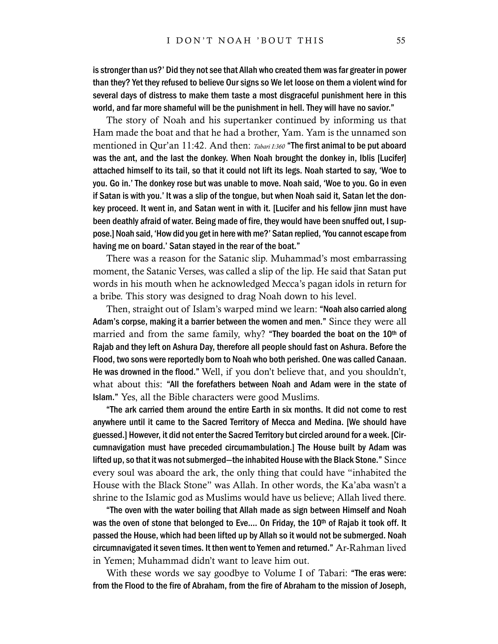is stronger than us?' Did they not see that Allah who created them was far greater in power than they? Yet they refused to believe Our signs so We let loose on them a violent wind for several days of distress to make them taste a most disgraceful punishment here in this world, and far more shameful will be the punishment in hell. They will have no savior."

The story of Noah and his supertanker continued by informing us that Ham made the boat and that he had a brother, Yam. Yam is the unnamed son mentioned in Qur'an 11:42. And then: *Tabari I:360* "The first animal to be put aboard was the ant, and the last the donkey. When Noah brought the donkey in, Iblis [Lucifer] attached himself to its tail, so that it could not lift its legs. Noah started to say, 'Woe to you. Go in.' The donkey rose but was unable to move. Noah said, 'Woe to you. Go in even if Satan is with you.' It was a slip of the tongue, but when Noah said it, Satan let the donkey proceed. It went in, and Satan went in with it. [Lucifer and his fellow jinn must have been deathly afraid of water. Being made of fire, they would have been snuffed out, I suppose.] Noah said, 'How did you get in here with me?' Satan replied, 'You cannot escape from having me on board.' Satan stayed in the rear of the boat."

There was a reason for the Satanic slip. Muhammad's most embarrassing moment, the Satanic Verses, was called a slip of the lip. He said that Satan put words in his mouth when he acknowledged Mecca's pagan idols in return for a bribe. This story was designed to drag Noah down to his level.

Then, straight out of Islam's warped mind we learn: "Noah also carried along Adam's corpse, making it a barrier between the women and men." Since they were all married and from the same family, why? "They boarded the boat on the 10<sup>th</sup> of Rajab and they left on Ashura Day, therefore all people should fast on Ashura. Before the Flood, two sons were reportedly born to Noah who both perished. One was called Canaan. He was drowned in the flood." Well, if you don't believe that, and you shouldn't, what about this: "All the forefathers between Noah and Adam were in the state of Islam." Yes, all the Bible characters were good Muslims.

"The ark carried them around the entire Earth in six months. It did not come to rest anywhere until it came to the Sacred Territory of Mecca and Medina. [We should have guessed.] However, it did not enter the Sacred Territory but circled around for a week. [Circumnavigation must have preceded circumambulation.] The House built by Adam was lifted up, so that it was not submerged—the inhabited House with the Black Stone." Since every soul was aboard the ark, the only thing that could have "inhabited the House with the Black Stone" was Allah. In other words, the Ka'aba wasn't a shrine to the Islamic god as Muslims would have us believe; Allah lived there.

"The oven with the water boiling that Allah made as sign between Himself and Noah was the oven of stone that belonged to Eve.... On Friday, the 10<sup>th</sup> of Rajab it took off. It passed the House, which had been lifted up by Allah so it would not be submerged. Noah circumnavigated it seven times. It then went to Yemen and returned." Ar-Rahman lived in Yemen; Muhammad didn't want to leave him out.

With these words we say goodbye to Volume I of Tabari: "The eras were: from the Flood to the fire of Abraham, from the fire of Abraham to the mission of Joseph,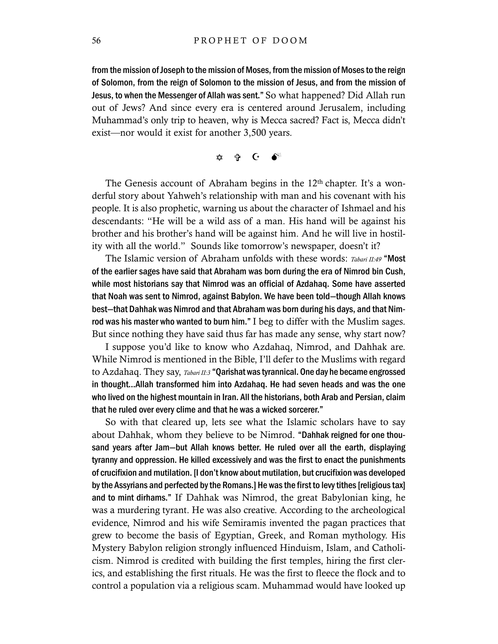from the mission of Joseph to the mission of Moses, from the mission of Moses to the reign of Solomon, from the reign of Solomon to the mission of Jesus, and from the mission of Jesus, to when the Messenger of Allah was sent." So what happened? Did Allah run out of Jews? And since every era is centered around Jerusalem, including Muhammad's only trip to heaven, why is Mecca sacred? Fact is, Mecca didn't exist—nor would it exist for another 3,500 years.

@ = A 0

The Genesis account of Abraham begins in the 12<sup>th</sup> chapter. It's a wonderful story about Yahweh's relationship with man and his covenant with his people. It is also prophetic, warning us about the character of Ishmael and his descendants: "He will be a wild ass of a man. His hand will be against his brother and his brother's hand will be against him. And he will live in hostility with all the world." Sounds like tomorrow's newspaper, doesn't it?

The Islamic version of Abraham unfolds with these words: *Tabari II:49* "Most of the earlier sages have said that Abraham was born during the era of Nimrod bin Cush, while most historians say that Nimrod was an official of Azdahaq. Some have asserted that Noah was sent to Nimrod, against Babylon. We have been told—though Allah knows best—that Dahhak was Nimrod and that Abraham was born during his days, and that Nimrod was his master who wanted to burn him." I beg to differ with the Muslim sages. But since nothing they have said thus far has made any sense, why start now?

I suppose you'd like to know who Azdahaq, Nimrod, and Dahhak are. While Nimrod is mentioned in the Bible, I'll defer to the Muslims with regard to Azdahaq. They say, *Tabari II:3* "Qarishat was tyrannical. One day he became engrossed in thought…Allah transformed him into Azdahaq. He had seven heads and was the one who lived on the highest mountain in Iran. All the historians, both Arab and Persian, claim that he ruled over every clime and that he was a wicked sorcerer."

So with that cleared up, lets see what the Islamic scholars have to say about Dahhak, whom they believe to be Nimrod. "Dahhak reigned for one thousand years after Jam—but Allah knows better. He ruled over all the earth, displaying tyranny and oppression. He killed excessively and was the first to enact the punishments of crucifixion and mutilation. [I don't know about mutilation, but crucifixion was developed by the Assyrians and perfected by the Romans.] He was the first to levy tithes [religious tax] and to mint dirhams." If Dahhak was Nimrod, the great Babylonian king, he was a murdering tyrant. He was also creative. According to the archeological evidence, Nimrod and his wife Semiramis invented the pagan practices that grew to become the basis of Egyptian, Greek, and Roman mythology. His Mystery Babylon religion strongly influenced Hinduism, Islam, and Catholicism. Nimrod is credited with building the first temples, hiring the first clerics, and establishing the first rituals. He was the first to fleece the flock and to control a population via a religious scam. Muhammad would have looked up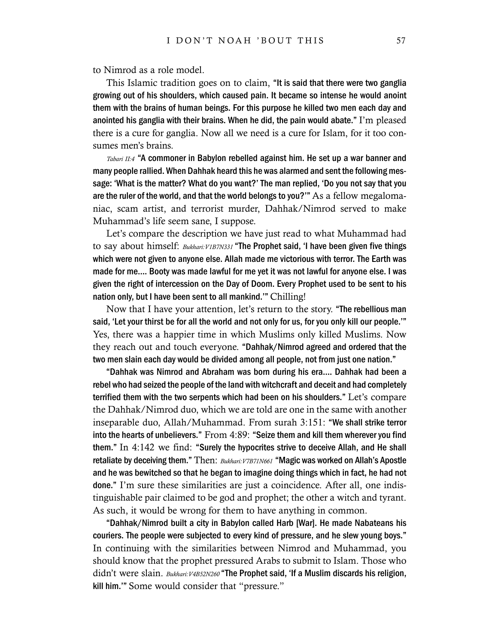to Nimrod as a role model.

This Islamic tradition goes on to claim, "It is said that there were two ganglia growing out of his shoulders, which caused pain. It became so intense he would anoint them with the brains of human beings. For this purpose he killed two men each day and anointed his ganglia with their brains. When he did, the pain would abate." I'm pleased there is a cure for ganglia. Now all we need is a cure for Islam, for it too consumes men's brains.

*Tabari II:4* "A commoner in Babylon rebelled against him. He set up a war banner and many people rallied. When Dahhak heard this he was alarmed and sent the following message: 'What is the matter? What do you want?' The man replied, 'Do you not say that you are the ruler of the world, and that the world belongs to you?'" As a fellow megalomaniac, scam artist, and terrorist murder, Dahhak/Nimrod served to make Muhammad's life seem sane, I suppose.

Let's compare the description we have just read to what Muhammad had to say about himself: *Bukhari:V1B7N331* "The Prophet said, 'I have been given five things which were not given to anyone else. Allah made me victorious with terror. The Earth was made for me…. Booty was made lawful for me yet it was not lawful for anyone else. I was given the right of intercession on the Day of Doom. Every Prophet used to be sent to his nation only, but I have been sent to all mankind.'" Chilling!

Now that I have your attention, let's return to the story. "The rebellious man said, 'Let your thirst be for all the world and not only for us, for you only kill our people.'" Yes, there was a happier time in which Muslims only killed Muslims. Now they reach out and touch everyone. "Dahhak/Nimrod agreed and ordered that the two men slain each day would be divided among all people, not from just one nation."

"Dahhak was Nimrod and Abraham was born during his era…. Dahhak had been a rebel who had seized the people of the land with witchcraft and deceit and had completely terrified them with the two serpents which had been on his shoulders." Let's compare the Dahhak/Nimrod duo, which we are told are one in the same with another inseparable duo, Allah/Muhammad. From surah 3:151: "We shall strike terror into the hearts of unbelievers." From 4:89: "Seize them and kill them wherever you find them." In 4:142 we find: "Surely the hypocrites strive to deceive Allah, and He shall retaliate by deceiving them." Then: *Bukhari:V7B71N661* "Magic was worked on Allah's Apostle and he was bewitched so that he began to imagine doing things which in fact, he had not done." I'm sure these similarities are just a coincidence. After all, one indistinguishable pair claimed to be god and prophet; the other a witch and tyrant. As such, it would be wrong for them to have anything in common.

"Dahhak/Nimrod built a city in Babylon called Harb [War]. He made Nabateans his couriers. The people were subjected to every kind of pressure, and he slew young boys." In continuing with the similarities between Nimrod and Muhammad, you should know that the prophet pressured Arabs to submit to Islam. Those who didn't were slain. *Bukhari:V4B52N260* "The Prophet said, 'If a Muslim discards his religion, kill him.'" Some would consider that "pressure."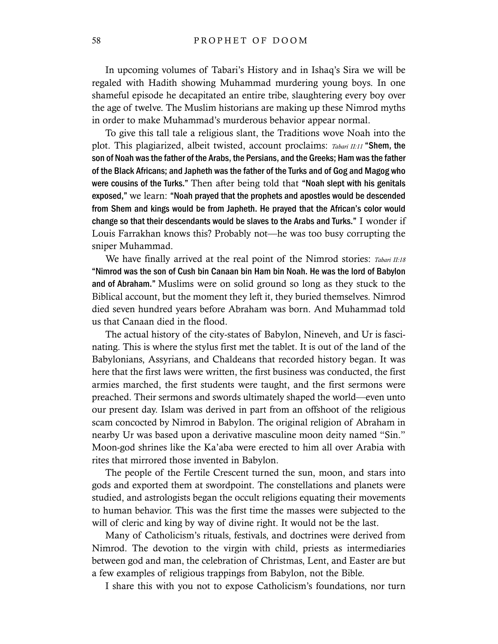In upcoming volumes of Tabari's History and in Ishaq's Sira we will be regaled with Hadith showing Muhammad murdering young boys. In one shameful episode he decapitated an entire tribe, slaughtering every boy over the age of twelve. The Muslim historians are making up these Nimrod myths in order to make Muhammad's murderous behavior appear normal.

To give this tall tale a religious slant, the Traditions wove Noah into the plot. This plagiarized, albeit twisted, account proclaims: *Tabari II:11* "Shem, the son of Noah was the father of the Arabs, the Persians, and the Greeks; Ham was the father of the Black Africans; and Japheth was the father of the Turks and of Gog and Magog who were cousins of the Turks." Then after being told that "Noah slept with his genitals exposed," we learn: "Noah prayed that the prophets and apostles would be descended from Shem and kings would be from Japheth. He prayed that the African's color would change so that their descendants would be slaves to the Arabs and Turks." I wonder if Louis Farrakhan knows this? Probably not—he was too busy corrupting the sniper Muhammad.

We have finally arrived at the real point of the Nimrod stories: *Tabari II:18* "Nimrod was the son of Cush bin Canaan bin Ham bin Noah. He was the lord of Babylon and of Abraham." Muslims were on solid ground so long as they stuck to the Biblical account, but the moment they left it, they buried themselves. Nimrod died seven hundred years before Abraham was born. And Muhammad told us that Canaan died in the flood.

The actual history of the city-states of Babylon, Nineveh, and Ur is fascinating. This is where the stylus first met the tablet. It is out of the land of the Babylonians, Assyrians, and Chaldeans that recorded history began. It was here that the first laws were written, the first business was conducted, the first armies marched, the first students were taught, and the first sermons were preached. Their sermons and swords ultimately shaped the world—even unto our present day. Islam was derived in part from an offshoot of the religious scam concocted by Nimrod in Babylon. The original religion of Abraham in nearby Ur was based upon a derivative masculine moon deity named "Sin." Moon-god shrines like the Ka'aba were erected to him all over Arabia with rites that mirrored those invented in Babylon.

The people of the Fertile Crescent turned the sun, moon, and stars into gods and exported them at swordpoint. The constellations and planets were studied, and astrologists began the occult religions equating their movements to human behavior. This was the first time the masses were subjected to the will of cleric and king by way of divine right. It would not be the last.

Many of Catholicism's rituals, festivals, and doctrines were derived from Nimrod. The devotion to the virgin with child, priests as intermediaries between god and man, the celebration of Christmas, Lent, and Easter are but a few examples of religious trappings from Babylon, not the Bible.

I share this with you not to expose Catholicism's foundations, nor turn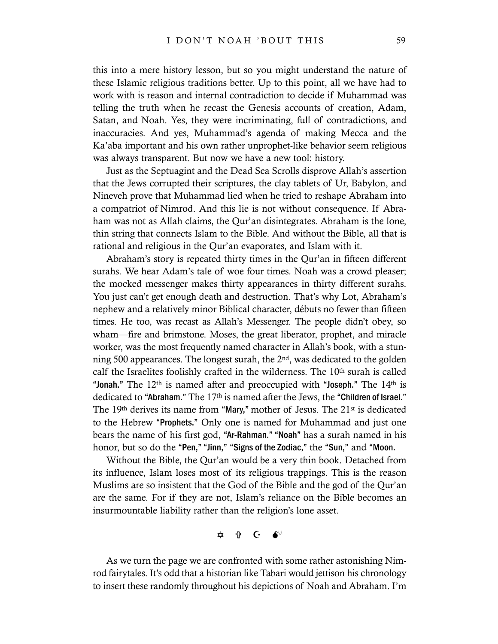this into a mere history lesson, but so you might understand the nature of these Islamic religious traditions better. Up to this point, all we have had to work with is reason and internal contradiction to decide if Muhammad was telling the truth when he recast the Genesis accounts of creation, Adam, Satan, and Noah. Yes, they were incriminating, full of contradictions, and inaccuracies. And yes, Muhammad's agenda of making Mecca and the Ka'aba important and his own rather unprophet-like behavior seem religious was always transparent. But now we have a new tool: history.

Just as the Septuagint and the Dead Sea Scrolls disprove Allah's assertion that the Jews corrupted their scriptures, the clay tablets of Ur, Babylon, and Nineveh prove that Muhammad lied when he tried to reshape Abraham into a compatriot of Nimrod. And this lie is not without consequence. If Abraham was not as Allah claims, the Qur'an disintegrates. Abraham is the lone, thin string that connects Islam to the Bible. And without the Bible, all that is rational and religious in the Qur'an evaporates, and Islam with it.

Abraham's story is repeated thirty times in the Qur'an in fifteen different surahs. We hear Adam's tale of woe four times. Noah was a crowd pleaser; the mocked messenger makes thirty appearances in thirty different surahs. You just can't get enough death and destruction. That's why Lot, Abraham's nephew and a relatively minor Biblical character, débuts no fewer than fifteen times. He too, was recast as Allah's Messenger. The people didn't obey, so wham—fire and brimstone. Moses, the great liberator, prophet, and miracle worker, was the most frequently named character in Allah's book, with a stunning 500 appearances. The longest surah, the 2<sup>nd</sup>, was dedicated to the golden calf the Israelites foolishly crafted in the wilderness. The 10<sup>th</sup> surah is called "Jonah." The  $12<sup>th</sup>$  is named after and preoccupied with "Joseph." The  $14<sup>th</sup>$  is dedicated to "Abraham." The 17<sup>th</sup> is named after the Jews, the "Children of Israel." The 19th derives its name from "Mary," mother of Jesus. The 21<sup>st</sup> is dedicated to the Hebrew "Prophets." Only one is named for Muhammad and just one bears the name of his first god, "Ar-Rahman." "Noah" has a surah named in his honor, but so do the "Pen," "Jinn," "Signs of the Zodiac," the "Sun," and "Moon.

Without the Bible, the Qur'an would be a very thin book. Detached from its influence, Islam loses most of its religious trappings. This is the reason Muslims are so insistent that the God of the Bible and the god of the Qur'an are the same. For if they are not, Islam's reliance on the Bible becomes an insurmountable liability rather than the religion's lone asset.

 $\mathsf{G}\mathsf{F}$ 

As we turn the page we are confronted with some rather astonishing Nimrod fairytales. It's odd that a historian like Tabari would jettison his chronology to insert these randomly throughout his depictions of Noah and Abraham. I'm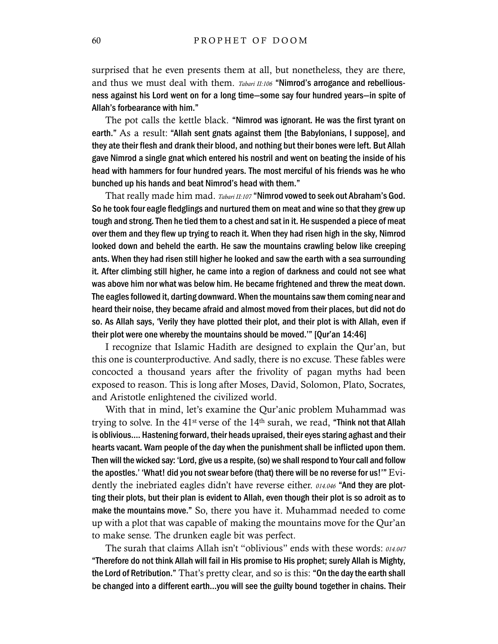surprised that he even presents them at all, but nonetheless, they are there, and thus we must deal with them. *Tabari II:106* "Nimrod's arrogance and rebelliousness against his Lord went on for a long time—some say four hundred years—in spite of Allah's forbearance with him."

The pot calls the kettle black. "Nimrod was ignorant. He was the first tyrant on earth." As a result: "Allah sent gnats against them [the Babylonians, I suppose], and they ate their flesh and drank their blood, and nothing but their bones were left. But Allah gave Nimrod a single gnat which entered his nostril and went on beating the inside of his head with hammers for four hundred years. The most merciful of his friends was he who bunched up his hands and beat Nimrod's head with them."

That really made him mad. *Tabari II:107* "Nimrod vowed to seek out Abraham's God. So he took four eagle fledglings and nurtured them on meat and wine so that they grew up tough and strong. Then he tied them to a chest and sat in it. He suspended a piece of meat over them and they flew up trying to reach it. When they had risen high in the sky, Nimrod looked down and beheld the earth. He saw the mountains crawling below like creeping ants. When they had risen still higher he looked and saw the earth with a sea surrounding it. After climbing still higher, he came into a region of darkness and could not see what was above him nor what was below him. He became frightened and threw the meat down. The eagles followed it, darting downward. When the mountains saw them coming near and heard their noise, they became afraid and almost moved from their places, but did not do so. As Allah says, 'Verily they have plotted their plot, and their plot is with Allah, even if their plot were one whereby the mountains should be moved.'" [Qur'an 14:46]

I recognize that Islamic Hadith are designed to explain the Qur'an, but this one is counterproductive. And sadly, there is no excuse. These fables were concocted a thousand years after the frivolity of pagan myths had been exposed to reason. This is long after Moses, David, Solomon, Plato, Socrates, and Aristotle enlightened the civilized world.

With that in mind, let's examine the Qur'anic problem Muhammad was trying to solve. In the  $41<sup>st</sup>$  verse of the  $14<sup>th</sup>$  surah, we read, "Think not that Allah is oblivious…. Hastening forward, their heads upraised, their eyes staring aghast and their hearts vacant. Warn people of the day when the punishment shall be inflicted upon them. Then will the wicked say: 'Lord, give us a respite, (so) we shall respond to Your call and follow the apostles.' 'What! did you not swear before (that) there will be no reverse for us!'" Evidently the inebriated eagles didn't have reverse either. *014.046* "And they are plotting their plots, but their plan is evident to Allah, even though their plot is so adroit as to make the mountains move." So, there you have it. Muhammad needed to come up with a plot that was capable of making the mountains move for the Qur'an to make sense. The drunken eagle bit was perfect.

The surah that claims Allah isn't "oblivious" ends with these words: *014.047* "Therefore do not think Allah will fail in His promise to His prophet; surely Allah is Mighty, the Lord of Retribution." That's pretty clear, and so is this: "On the day the earth shall be changed into a different earth…you will see the guilty bound together in chains. Their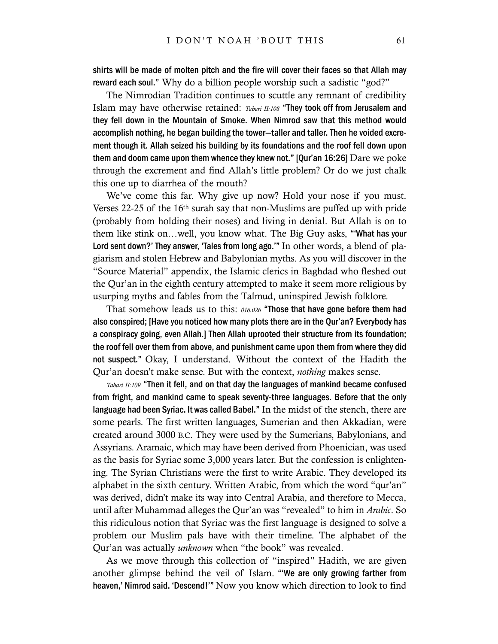shirts will be made of molten pitch and the fire will cover their faces so that Allah may reward each soul." Why do a billion people worship such a sadistic "god?"

The Nimrodian Tradition continues to scuttle any remnant of credibility Islam may have otherwise retained: *Tabari II:108* "They took off from Jerusalem and they fell down in the Mountain of Smoke. When Nimrod saw that this method would accomplish nothing, he began building the tower—taller and taller. Then he voided excrement though it. Allah seized his building by its foundations and the roof fell down upon them and doom came upon them whence they knew not." [Qur'an 16:26] Dare we poke through the excrement and find Allah's little problem? Or do we just chalk this one up to diarrhea of the mouth?

We've come this far. Why give up now? Hold your nose if you must. Verses 22-25 of the 16th surah say that non-Muslims are puffed up with pride (probably from holding their noses) and living in denial. But Allah is on to them like stink on…well, you know what. The Big Guy asks, "'What has your Lord sent down?' They answer, 'Tales from long ago.'" In other words, a blend of plagiarism and stolen Hebrew and Babylonian myths. As you will discover in the "Source Material" appendix, the Islamic clerics in Baghdad who fleshed out the Qur'an in the eighth century attempted to make it seem more religious by usurping myths and fables from the Talmud, uninspired Jewish folklore.

That somehow leads us to this: *016.026* "Those that have gone before them had also conspired; [Have you noticed how many plots there are in the Qur'an? Everybody has a conspiracy going, even Allah.] Then Allah uprooted their structure from its foundation; the roof fell over them from above, and punishment came upon them from where they did not suspect." Okay, I understand. Without the context of the Hadith the Qur'an doesn't make sense. But with the context, *nothing* makes sense.

*Tabari II:109* "Then it fell, and on that day the languages of mankind became confused from fright, and mankind came to speak seventy-three languages. Before that the only language had been Syriac. It was called Babel." In the midst of the stench, there are some pearls. The first written languages, Sumerian and then Akkadian, were created around 3000 B.C. They were used by the Sumerians, Babylonians, and Assyrians. Aramaic, which may have been derived from Phoenician, was used as the basis for Syriac some 3,000 years later. But the confession is enlightening. The Syrian Christians were the first to write Arabic. They developed its alphabet in the sixth century. Written Arabic, from which the word "qur'an" was derived, didn't make its way into Central Arabia, and therefore to Mecca, until after Muhammad alleges the Qur'an was "revealed" to him in *Arabic*. So this ridiculous notion that Syriac was the first language is designed to solve a problem our Muslim pals have with their timeline. The alphabet of the Qur'an was actually *unknown* when "the book" was revealed.

As we move through this collection of "inspired" Hadith, we are given another glimpse behind the veil of Islam. "'We are only growing farther from heaven,' Nimrod said. 'Descend!'" Now you know which direction to look to find